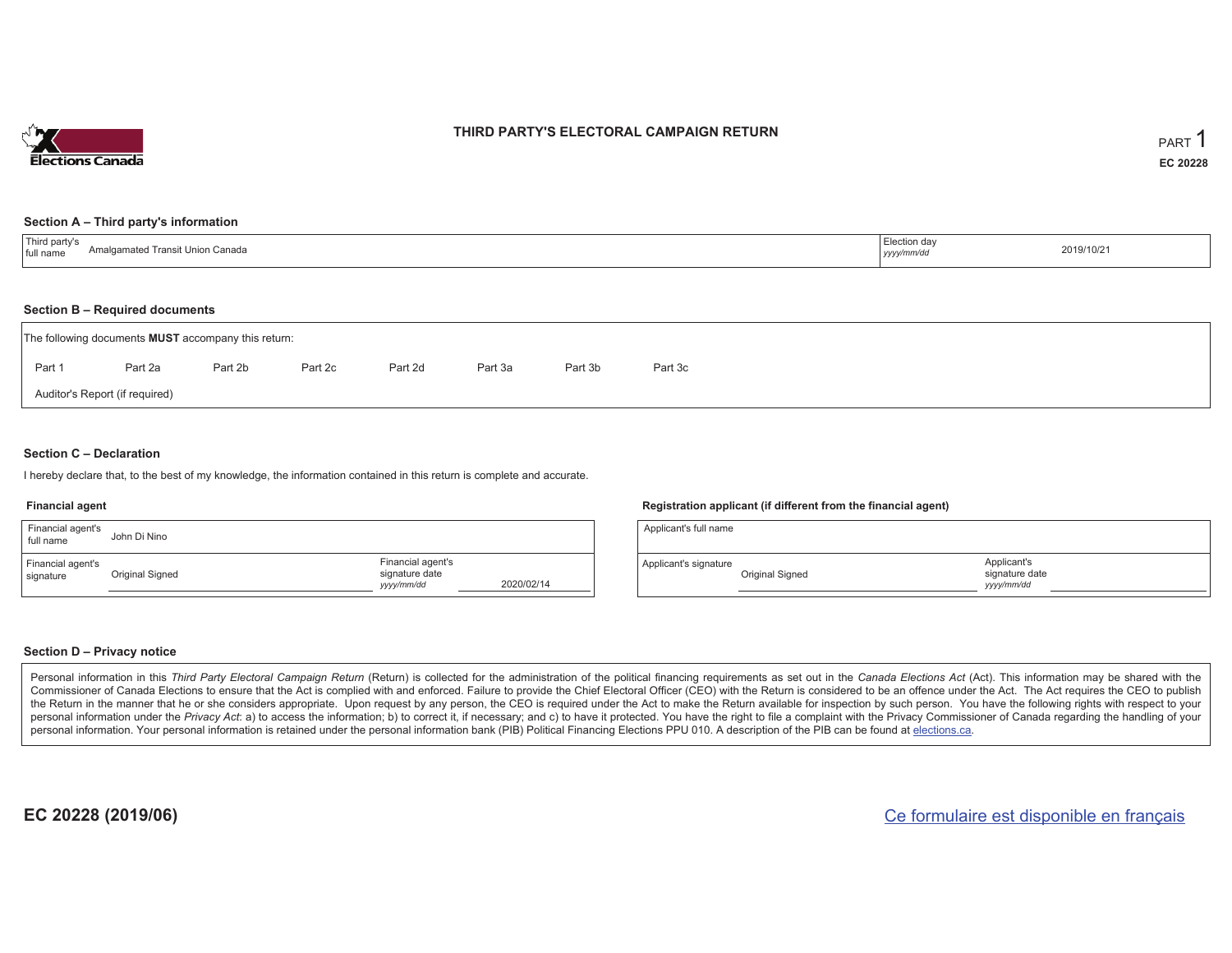

## **THIRD PARTY'S ELECTORAL CAMPAIGN RETURN**

#### **Section A – Third party's information**

| <sup>'</sup> Third party s<br>' Transit Union Canada<br>Amalgamate.<br>I full name | Election day<br>yyyy/mm/dd | 2019/10/21 |
|------------------------------------------------------------------------------------|----------------------------|------------|
|------------------------------------------------------------------------------------|----------------------------|------------|

#### **Section B – Required documents**

|        | The following documents <b>MUST</b> accompany this return: |         |         |         |         |         |         |  |  |  |  |  |
|--------|------------------------------------------------------------|---------|---------|---------|---------|---------|---------|--|--|--|--|--|
| Part 1 | Part 2a                                                    | Part 2b | Part 2c | Part 2d | Part 3a | Part 3b | Part 3c |  |  |  |  |  |
|        | Auditor's Report (if required)                             |         |         |         |         |         |         |  |  |  |  |  |

### **Section C – Declaration**

I hereby declare that, to the best of my knowledge, the information contained in this return is complete and accurate.

#### **Financial agent**

| Financial agent's<br>full name | John Di Nino    |                                                   |            |
|--------------------------------|-----------------|---------------------------------------------------|------------|
| Financial agent's<br>signature | Original Signed | Financial agent's<br>signature date<br>yyyy/mm/dd | 2020/02/14 |

#### **Registration applicant (if different from the financial agent)**

| Applicant's full name |                 |                                             |  |
|-----------------------|-----------------|---------------------------------------------|--|
| Applicant's signature | Original Signed | Applicant's<br>signature date<br>yyyy/mm/dd |  |

#### **Section D – Privacy notice**

Personal information in this Third Party Electoral Campaign Return (Return) is collected for the administration of the political financing requirements as set out in the Canada Elections Act (Act). This information may be Commissioner of Canada Elections to ensure that the Act is complied with and enforced. Failure to provide the Chief Electoral Officer (CEO) with the Return is considered to be an offence under the Act. The Act requires the the Return in the manner that he or she considers appropriate. Upon request by any person, the CEO is required under the Act to make the Return available for inspection by such person. You have the following rights with re personal information under the Privacy Act: a) to access the information; b) to correct it, if necessary; and c) to have it protected. You have the right to file a complaint with the Privacy Commissioner of Canada regardin personal information. Your personal information is retained under the personal information bank (PIB) Political Financing Elections PPU 010. A description of the PIB can be found at elections.ca.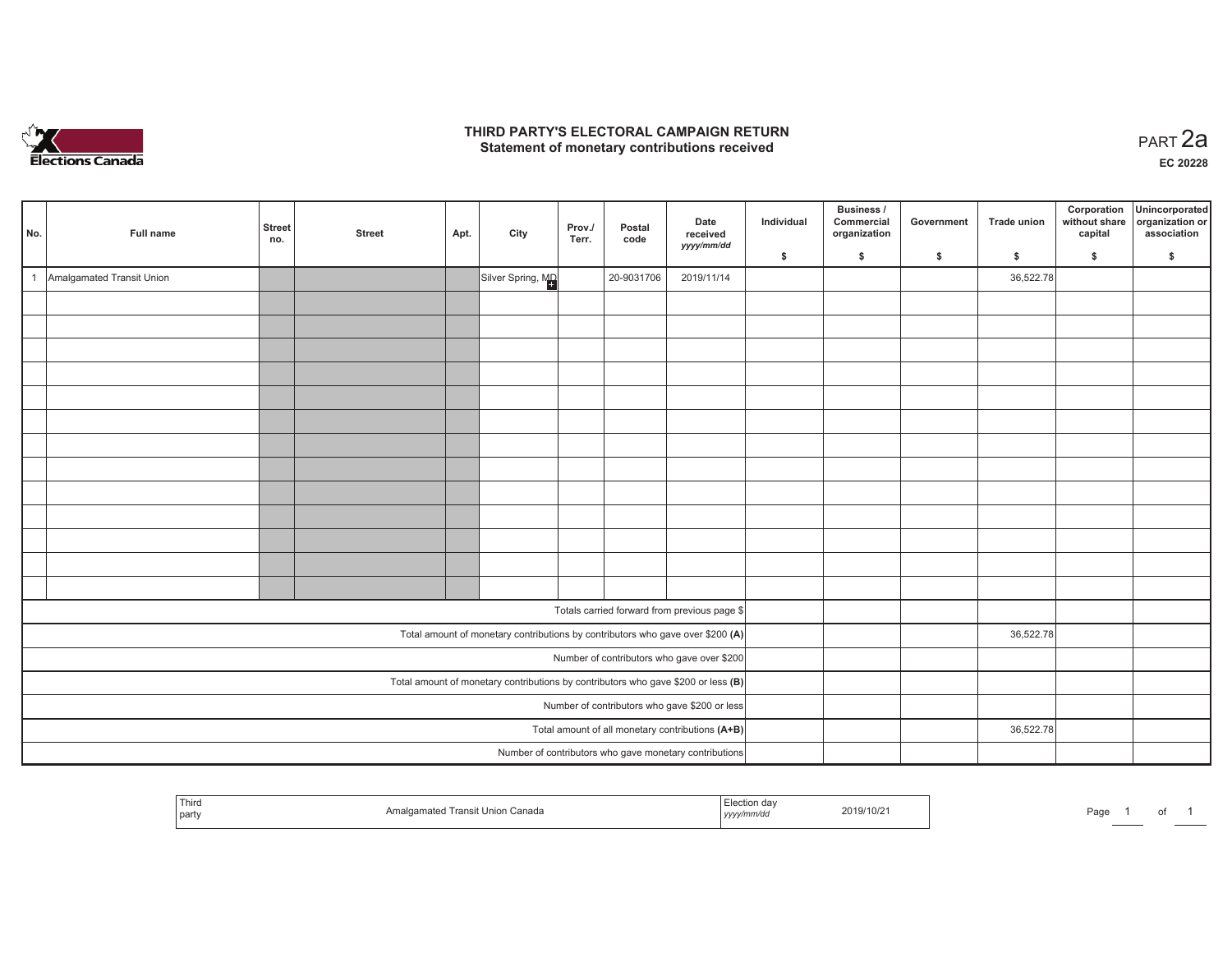

## **THIRD PARTY'S ELECTORAL CAMPAIGN RETURN HIRD PARTY'S ELECTORAL CAMPAIGN RETURN<br>Statement of monetary contributions received PART 2a**

| No. | Full name                                     | <b>Street</b><br>no.                             | <b>Street</b> | Apt. | City                                                                                | Prov./<br>Terr. | Postal<br>code | Date<br>received<br>yyyy/mm/dd                         | Individual | Business /<br>Commercial<br>organization | Government | <b>Trade union</b> | Corporation<br>without share<br>capital | Unincorporated<br>organization or<br>association |
|-----|-----------------------------------------------|--------------------------------------------------|---------------|------|-------------------------------------------------------------------------------------|-----------------|----------------|--------------------------------------------------------|------------|------------------------------------------|------------|--------------------|-----------------------------------------|--------------------------------------------------|
|     |                                               |                                                  |               |      |                                                                                     |                 |                |                                                        | \$         | \$                                       | \$         | $\mathsf{s}$       | \$                                      | \$                                               |
|     | Amalgamated Transit Union                     |                                                  |               |      | Silver Spring, MD                                                                   |                 | 20-9031706     | 2019/11/14                                             |            |                                          |            | 36,522.78          |                                         |                                                  |
|     |                                               |                                                  |               |      |                                                                                     |                 |                |                                                        |            |                                          |            |                    |                                         |                                                  |
|     |                                               |                                                  |               |      |                                                                                     |                 |                |                                                        |            |                                          |            |                    |                                         |                                                  |
|     |                                               |                                                  |               |      |                                                                                     |                 |                |                                                        |            |                                          |            |                    |                                         |                                                  |
|     |                                               |                                                  |               |      |                                                                                     |                 |                |                                                        |            |                                          |            |                    |                                         |                                                  |
|     |                                               |                                                  |               |      |                                                                                     |                 |                |                                                        |            |                                          |            |                    |                                         |                                                  |
|     |                                               |                                                  |               |      |                                                                                     |                 |                |                                                        |            |                                          |            |                    |                                         |                                                  |
|     |                                               |                                                  |               |      |                                                                                     |                 |                |                                                        |            |                                          |            |                    |                                         |                                                  |
|     |                                               |                                                  |               |      |                                                                                     |                 |                |                                                        |            |                                          |            |                    |                                         |                                                  |
|     |                                               |                                                  |               |      |                                                                                     |                 |                |                                                        |            |                                          |            |                    |                                         |                                                  |
|     |                                               |                                                  |               |      |                                                                                     |                 |                |                                                        |            |                                          |            |                    |                                         |                                                  |
|     |                                               |                                                  |               |      |                                                                                     |                 |                |                                                        |            |                                          |            |                    |                                         |                                                  |
|     |                                               |                                                  |               |      |                                                                                     |                 |                |                                                        |            |                                          |            |                    |                                         |                                                  |
|     |                                               |                                                  |               |      |                                                                                     |                 |                |                                                        |            |                                          |            |                    |                                         |                                                  |
|     |                                               |                                                  |               |      |                                                                                     |                 |                | Totals carried forward from previous page \$           |            |                                          |            |                    |                                         |                                                  |
|     |                                               |                                                  |               |      | Total amount of monetary contributions by contributors who gave over \$200 (A)      |                 |                |                                                        |            |                                          |            | 36,522.78          |                                         |                                                  |
|     |                                               |                                                  |               |      |                                                                                     |                 |                | Number of contributors who gave over \$200             |            |                                          |            |                    |                                         |                                                  |
|     |                                               |                                                  |               |      | Total amount of monetary contributions by contributors who gave \$200 or less $(B)$ |                 |                |                                                        |            |                                          |            |                    |                                         |                                                  |
|     | Number of contributors who gave \$200 or less |                                                  |               |      |                                                                                     |                 |                |                                                        |            |                                          |            |                    |                                         |                                                  |
|     |                                               | Total amount of all monetary contributions (A+B) |               |      |                                                                                     | 36,522.78       |                |                                                        |            |                                          |            |                    |                                         |                                                  |
|     |                                               |                                                  |               |      |                                                                                     |                 |                | Number of contributors who gave monetary contributions |            |                                          |            |                    |                                         |                                                  |

| Third<br>party | a Inion<br>i Canada<br>$\sim$<br>i ransi | ,,,,, | 2019/10/2 | Page |  |  |  |
|----------------|------------------------------------------|-------|-----------|------|--|--|--|
|----------------|------------------------------------------|-------|-----------|------|--|--|--|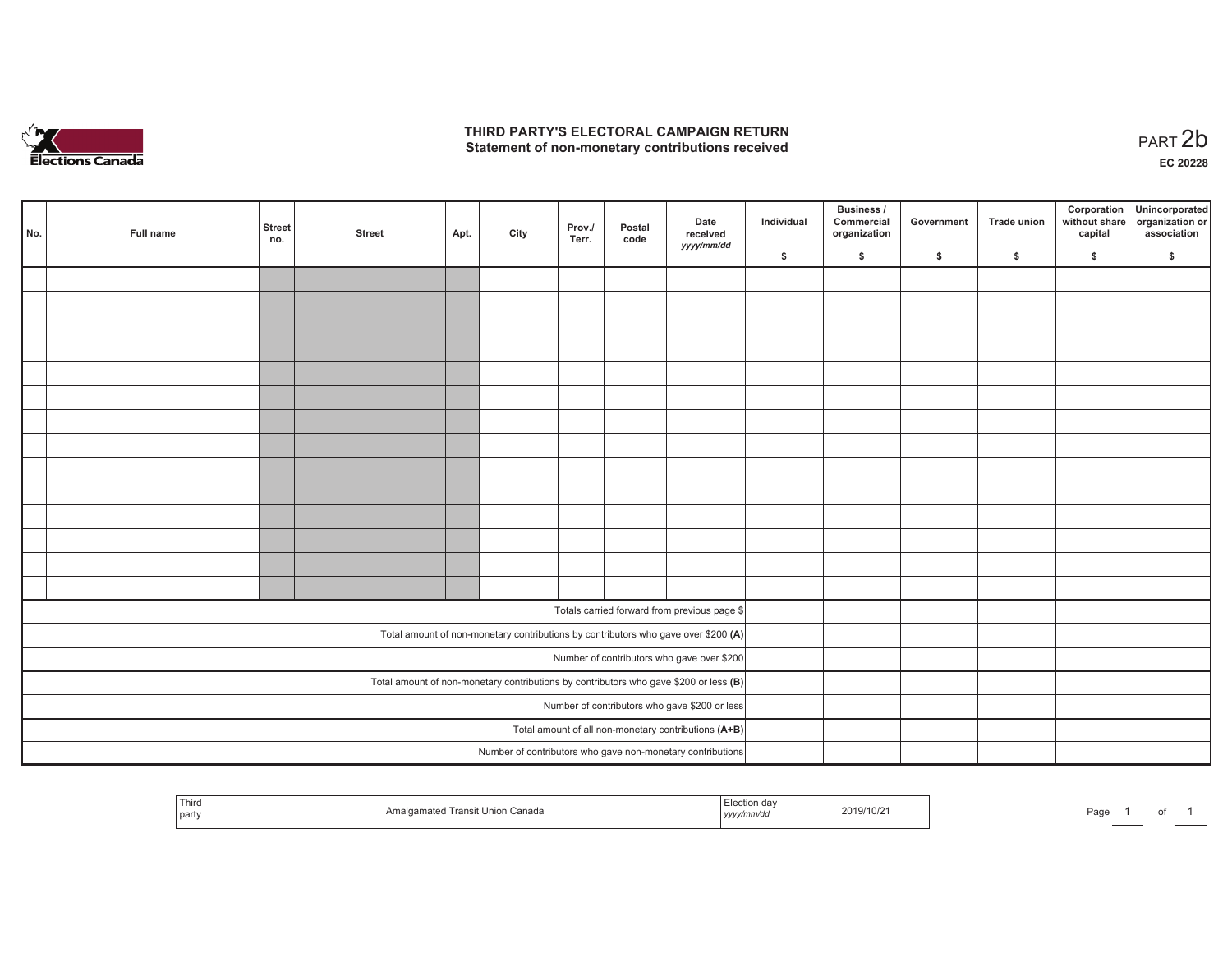

## **THIRD PARTY'S ELECTORAL CAMPAIGN RETURN**  THIRD PARTY'S ELECTORAL CAMPAIGN RETURN<br>Statement of non-monetary contributions received

1 of 1

| No.                                                                                   | Full name | <b>Street</b><br>no.                                 | <b>Street</b> | Apt. | City | Prov./<br>Terr. | Postal<br>code | Date<br>received<br>yyyy/mm/dd                             | Individual | <b>Business /</b><br>Commercial<br>organization | Government | Trade union | Corporation<br>capital | Unincorporated<br>without share organization or<br>association |
|---------------------------------------------------------------------------------------|-----------|------------------------------------------------------|---------------|------|------|-----------------|----------------|------------------------------------------------------------|------------|-------------------------------------------------|------------|-------------|------------------------|----------------------------------------------------------------|
|                                                                                       |           |                                                      |               |      |      |                 |                |                                                            | \$         | \$                                              | \$         | \$          | \$                     | \$                                                             |
|                                                                                       |           |                                                      |               |      |      |                 |                |                                                            |            |                                                 |            |             |                        |                                                                |
|                                                                                       |           |                                                      |               |      |      |                 |                |                                                            |            |                                                 |            |             |                        |                                                                |
|                                                                                       |           |                                                      |               |      |      |                 |                |                                                            |            |                                                 |            |             |                        |                                                                |
|                                                                                       |           |                                                      |               |      |      |                 |                |                                                            |            |                                                 |            |             |                        |                                                                |
|                                                                                       |           |                                                      |               |      |      |                 |                |                                                            |            |                                                 |            |             |                        |                                                                |
|                                                                                       |           |                                                      |               |      |      |                 |                |                                                            |            |                                                 |            |             |                        |                                                                |
|                                                                                       |           |                                                      |               |      |      |                 |                |                                                            |            |                                                 |            |             |                        |                                                                |
|                                                                                       |           |                                                      |               |      |      |                 |                |                                                            |            |                                                 |            |             |                        |                                                                |
|                                                                                       |           |                                                      |               |      |      |                 |                |                                                            |            |                                                 |            |             |                        |                                                                |
|                                                                                       |           |                                                      |               |      |      |                 |                |                                                            |            |                                                 |            |             |                        |                                                                |
|                                                                                       |           |                                                      |               |      |      |                 |                |                                                            |            |                                                 |            |             |                        |                                                                |
|                                                                                       |           |                                                      |               |      |      |                 |                |                                                            |            |                                                 |            |             |                        |                                                                |
|                                                                                       |           |                                                      |               |      |      |                 |                |                                                            |            |                                                 |            |             |                        |                                                                |
|                                                                                       |           |                                                      |               |      |      |                 |                |                                                            |            |                                                 |            |             |                        |                                                                |
|                                                                                       |           |                                                      |               |      |      |                 |                | Totals carried forward from previous page \$               |            |                                                 |            |             |                        |                                                                |
|                                                                                       |           |                                                      |               |      |      |                 |                |                                                            |            |                                                 |            |             |                        |                                                                |
| Total amount of non-monetary contributions by contributors who gave over \$200 (A)    |           |                                                      |               |      |      |                 |                |                                                            |            |                                                 |            |             |                        |                                                                |
| Number of contributors who gave over \$200                                            |           |                                                      |               |      |      |                 |                |                                                            |            |                                                 |            |             |                        |                                                                |
| Total amount of non-monetary contributions by contributors who gave \$200 or less (B) |           |                                                      |               |      |      |                 |                |                                                            |            |                                                 |            |             |                        |                                                                |
| Number of contributors who gave \$200 or less                                         |           |                                                      |               |      |      |                 |                |                                                            |            |                                                 |            |             |                        |                                                                |
|                                                                                       |           | Total amount of all non-monetary contributions (A+B) |               |      |      |                 |                |                                                            |            |                                                 |            |             |                        |                                                                |
|                                                                                       |           |                                                      |               |      |      |                 |                | Number of contributors who gave non-monetary contributions |            |                                                 |            |             |                        |                                                                |

| $-\cdot$<br>Third<br>part | Λm<br>Jnion<br>Canada<br>ansr | ua<br>1.7.7.7 | 2019/10/2 | Page |
|---------------------------|-------------------------------|---------------|-----------|------|
|---------------------------|-------------------------------|---------------|-----------|------|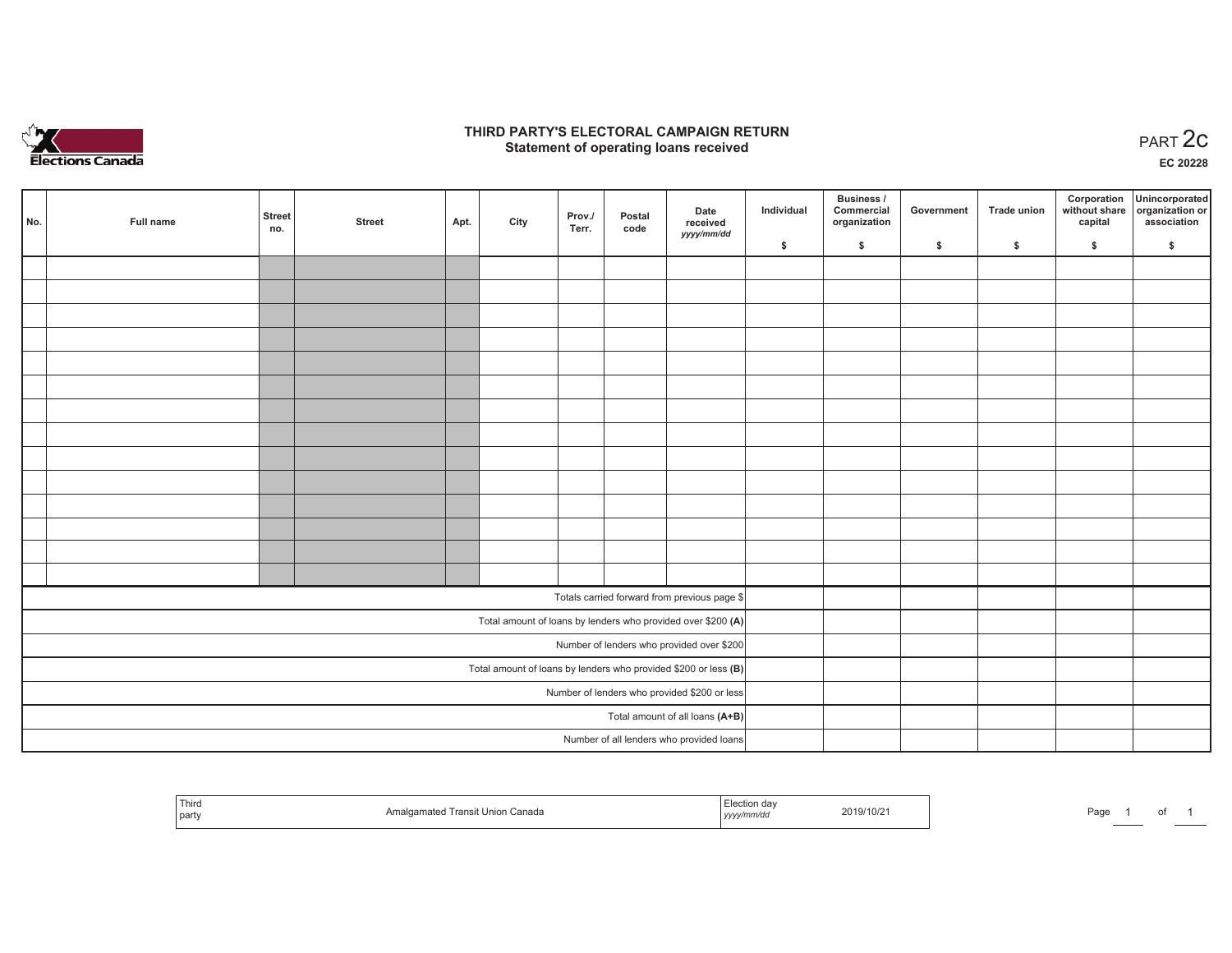

## **THIRD PARTY'S ELECTORAL CAMPAIGN RETURN STATE:** PERSON SELECTORAL CAMPAIGN RETURN<br>
Statement of operating loans received

**EC 20228**

| No.                                          | Full name                                                       | <b>Street</b><br>no. | <b>Street</b> | Apt. | City | Prov./<br>Terr. | Postal<br>code | Date<br>received                                             | Individual | Business /<br>Commercial<br>organization | Government | Trade union | Corporation<br>capital | Unincorporated<br>without share organization or<br>association |
|----------------------------------------------|-----------------------------------------------------------------|----------------------|---------------|------|------|-----------------|----------------|--------------------------------------------------------------|------------|------------------------------------------|------------|-------------|------------------------|----------------------------------------------------------------|
|                                              |                                                                 |                      |               |      |      |                 |                | yyyy/mm/dd                                                   | \$         | \$                                       | \$         | \$          | \$                     | \$                                                             |
|                                              |                                                                 |                      |               |      |      |                 |                |                                                              |            |                                          |            |             |                        |                                                                |
|                                              |                                                                 |                      |               |      |      |                 |                |                                                              |            |                                          |            |             |                        |                                                                |
|                                              |                                                                 |                      |               |      |      |                 |                |                                                              |            |                                          |            |             |                        |                                                                |
|                                              |                                                                 |                      |               |      |      |                 |                |                                                              |            |                                          |            |             |                        |                                                                |
|                                              |                                                                 |                      |               |      |      |                 |                |                                                              |            |                                          |            |             |                        |                                                                |
|                                              |                                                                 |                      |               |      |      |                 |                |                                                              |            |                                          |            |             |                        |                                                                |
|                                              |                                                                 |                      |               |      |      |                 |                |                                                              |            |                                          |            |             |                        |                                                                |
|                                              |                                                                 |                      |               |      |      |                 |                |                                                              |            |                                          |            |             |                        |                                                                |
|                                              |                                                                 |                      |               |      |      |                 |                |                                                              |            |                                          |            |             |                        |                                                                |
|                                              |                                                                 |                      |               |      |      |                 |                |                                                              |            |                                          |            |             |                        |                                                                |
|                                              |                                                                 |                      |               |      |      |                 |                |                                                              |            |                                          |            |             |                        |                                                                |
|                                              |                                                                 |                      |               |      |      |                 |                |                                                              |            |                                          |            |             |                        |                                                                |
|                                              |                                                                 |                      |               |      |      |                 |                |                                                              |            |                                          |            |             |                        |                                                                |
|                                              |                                                                 |                      |               |      |      |                 |                |                                                              |            |                                          |            |             |                        |                                                                |
|                                              |                                                                 |                      |               |      |      |                 |                | Totals carried forward from previous page \$                 |            |                                          |            |             |                        |                                                                |
|                                              |                                                                 |                      |               |      |      |                 |                | Total amount of loans by lenders who provided over \$200 (A) |            |                                          |            |             |                        |                                                                |
|                                              | Number of lenders who provided over \$200                       |                      |               |      |      |                 |                |                                                              |            |                                          |            |             |                        |                                                                |
|                                              | Total amount of loans by lenders who provided \$200 or less (B) |                      |               |      |      |                 |                |                                                              |            |                                          |            |             |                        |                                                                |
| Number of lenders who provided \$200 or less |                                                                 |                      |               |      |      |                 |                |                                                              |            |                                          |            |             |                        |                                                                |
|                                              |                                                                 |                      |               |      |      |                 |                | Total amount of all loans (A+B)                              |            |                                          |            |             |                        |                                                                |
|                                              |                                                                 |                      |               |      |      |                 |                | Number of all lenders who provided loans                     |            |                                          |            |             |                        |                                                                |

| Third<br>  party | ` <del>⊑</del> nion Canada<br>Transit Unio<br>nmated. | ∟lection dav<br>2019/10/21<br>, yyyy/mm/aa | Page |
|------------------|-------------------------------------------------------|--------------------------------------------|------|
|------------------|-------------------------------------------------------|--------------------------------------------|------|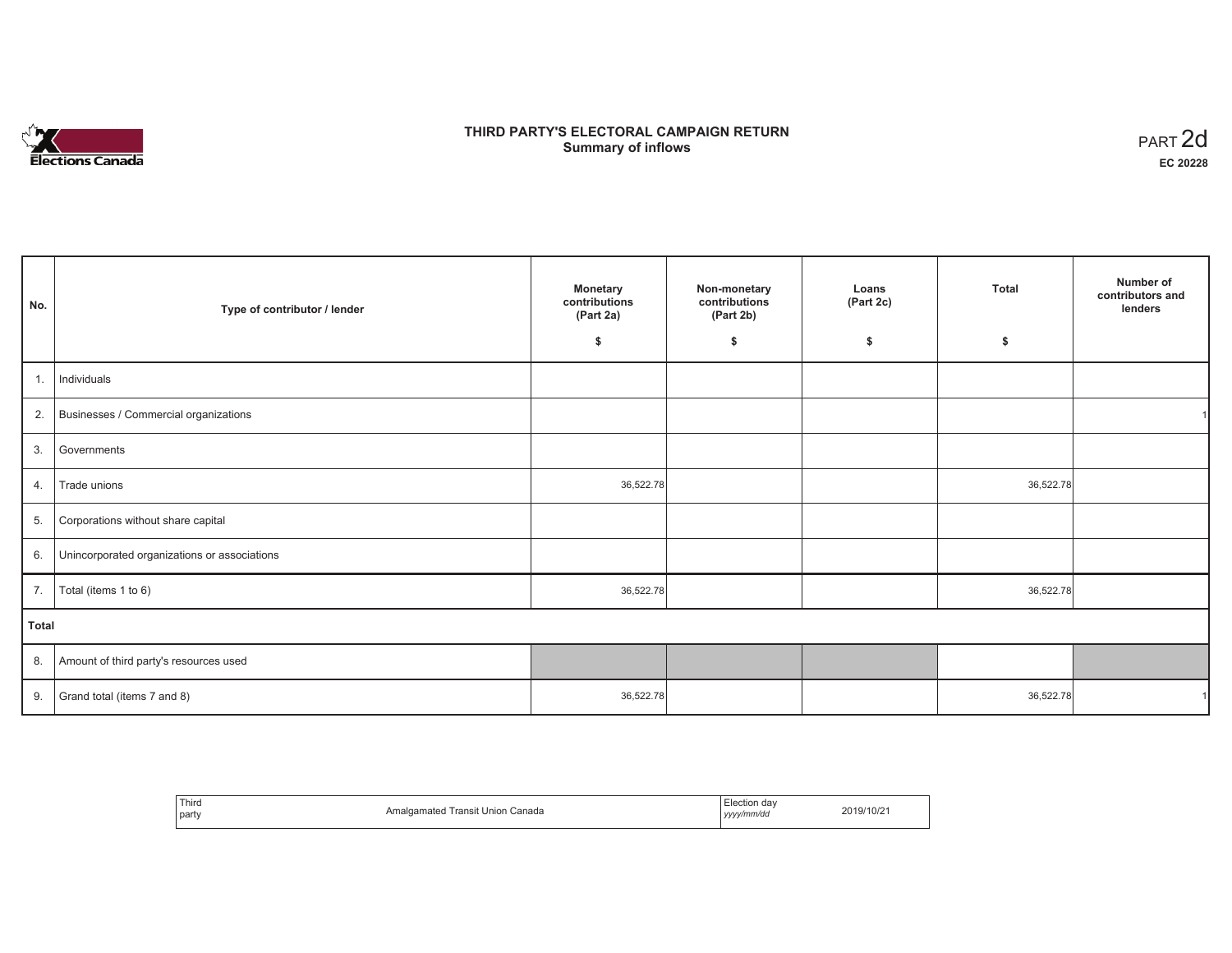

# **THIRD PARTY'S ELECTORAL CAMPAIGN RETURN S** ELECTORAL CAMPAIGN RETURN<br>Summary of inflows PART 2d

| No.   | Type of contributor / lender                 | <b>Monetary</b><br>contributions<br>(Part 2a) | Non-monetary<br>contributions<br>(Part 2b) | Loans<br>(Part 2c) | <b>Total</b> | Number of<br>contributors and<br>lenders |
|-------|----------------------------------------------|-----------------------------------------------|--------------------------------------------|--------------------|--------------|------------------------------------------|
|       |                                              | \$                                            | \$                                         | \$                 | \$           |                                          |
| 1.    | Individuals                                  |                                               |                                            |                    |              |                                          |
|       | 2. Businesses / Commercial organizations     |                                               |                                            |                    |              |                                          |
| 3.    | Governments                                  |                                               |                                            |                    |              |                                          |
| 4.    | Trade unions                                 | 36,522.78                                     |                                            |                    | 36,522.78    |                                          |
| 5.    | Corporations without share capital           |                                               |                                            |                    |              |                                          |
| 6.    | Unincorporated organizations or associations |                                               |                                            |                    |              |                                          |
| 7.    | Total (items 1 to 6)                         | 36,522.78                                     |                                            |                    | 36,522.78    |                                          |
| Total |                                              |                                               |                                            |                    |              |                                          |
|       | 8. Amount of third party's resources used    |                                               |                                            |                    |              |                                          |
| 9.    | Grand total (items 7 and 8)                  | 36,522.78                                     |                                            |                    | 36,522.78    |                                          |

| Third<br>part | Transit Union Canada<br>Amalgamated | lection dav:<br>yyyy/mm/dd | 2019/10/21 |
|---------------|-------------------------------------|----------------------------|------------|
|---------------|-------------------------------------|----------------------------|------------|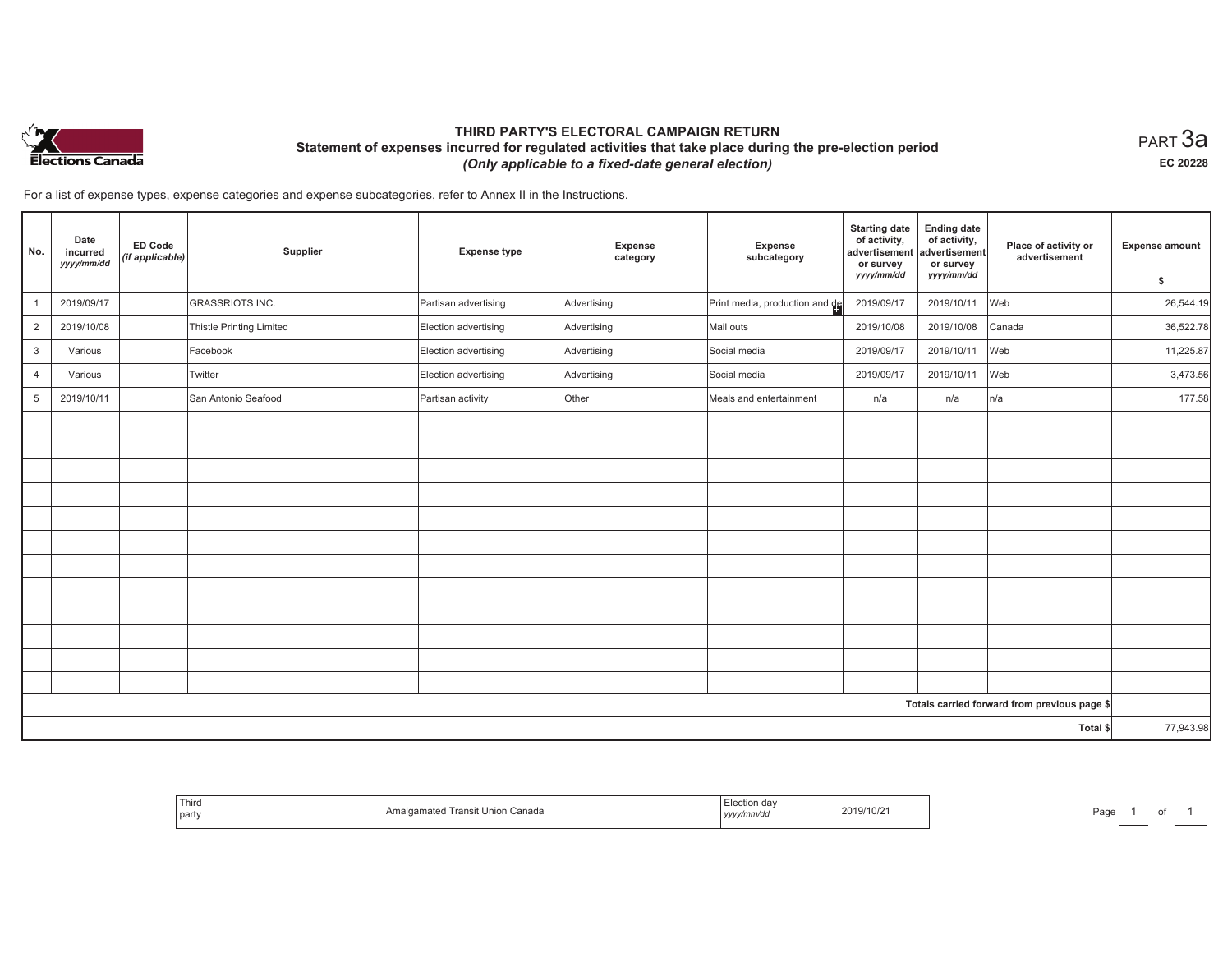

# **THIRD PARTY'S ELECTORAL CAMPAIGN RETURN Statement of expenses incurred for regulated activities that take place during the pre-election period**  *(Only applicable to a fixed-date general election)*

 $_{\sf PART}$ 3a **EC 20228**

For a list of expense types, expense categories and expense subcategories, refer to Annex II in the Instructions.

| No.            | Date<br>incurred<br>yyyy/mm/dd | ED Code<br>(if applicable) | Supplier                 | <b>Expense type</b>  | <b>Expense</b><br>category | Expense<br>subcategory         | <b>Starting date</b><br>of activity,<br>advertisement<br>or survey | <b>Ending date</b><br>of activity,<br>advertisement<br>or survey | Place of activity or<br>advertisement        | <b>Expense amount</b> |
|----------------|--------------------------------|----------------------------|--------------------------|----------------------|----------------------------|--------------------------------|--------------------------------------------------------------------|------------------------------------------------------------------|----------------------------------------------|-----------------------|
|                |                                |                            |                          |                      |                            |                                | yyyy/mm/dd                                                         | yyyy/mm/dd                                                       |                                              | \$                    |
|                | 2019/09/17                     |                            | <b>GRASSRIOTS INC.</b>   | Partisan advertising | Advertising                | Print media, production and de | 2019/09/17                                                         | 2019/10/11                                                       | Web                                          | 26,544.19             |
| $\overline{2}$ | 2019/10/08                     |                            | Thistle Printing Limited | Election advertising | Advertising                | Mail outs                      | 2019/10/08                                                         | 2019/10/08                                                       | Canada                                       | 36,522.78             |
| 3              | Various                        |                            | Facebook                 | Election advertising | Advertising                | Social media                   | 2019/09/17                                                         | 2019/10/11                                                       | Web                                          | 11,225.87             |
| $\overline{4}$ | Various                        |                            | Twitter                  | Election advertising | Advertising                | Social media                   | 2019/09/17                                                         | 2019/10/11                                                       | Web                                          | 3,473.56              |
| 5              | 2019/10/11                     |                            | San Antonio Seafood      | Partisan activity    | Other                      | Meals and entertainment        | n/a                                                                | n/a                                                              | n/a                                          | 177.58                |
|                |                                |                            |                          |                      |                            |                                |                                                                    |                                                                  |                                              |                       |
|                |                                |                            |                          |                      |                            |                                |                                                                    |                                                                  |                                              |                       |
|                |                                |                            |                          |                      |                            |                                |                                                                    |                                                                  |                                              |                       |
|                |                                |                            |                          |                      |                            |                                |                                                                    |                                                                  |                                              |                       |
|                |                                |                            |                          |                      |                            |                                |                                                                    |                                                                  |                                              |                       |
|                |                                |                            |                          |                      |                            |                                |                                                                    |                                                                  |                                              |                       |
|                |                                |                            |                          |                      |                            |                                |                                                                    |                                                                  |                                              |                       |
|                |                                |                            |                          |                      |                            |                                |                                                                    |                                                                  |                                              |                       |
|                |                                |                            |                          |                      |                            |                                |                                                                    |                                                                  |                                              |                       |
|                |                                |                            |                          |                      |                            |                                |                                                                    |                                                                  |                                              |                       |
|                |                                |                            |                          |                      |                            |                                |                                                                    |                                                                  |                                              |                       |
|                |                                |                            |                          |                      |                            |                                |                                                                    |                                                                  |                                              |                       |
|                |                                |                            |                          |                      |                            |                                |                                                                    |                                                                  | Totals carried forward from previous page \$ |                       |
| Total \$       |                                |                            |                          |                      |                            | 77,943.98                      |                                                                    |                                                                  |                                              |                       |

| Third<br>party | Union Canada<br>ımated<br>ransit | $3/10/2^{-1}$<br>2019/<br>,,,,, | ാഹ<br>'du |  |
|----------------|----------------------------------|---------------------------------|-----------|--|
|----------------|----------------------------------|---------------------------------|-----------|--|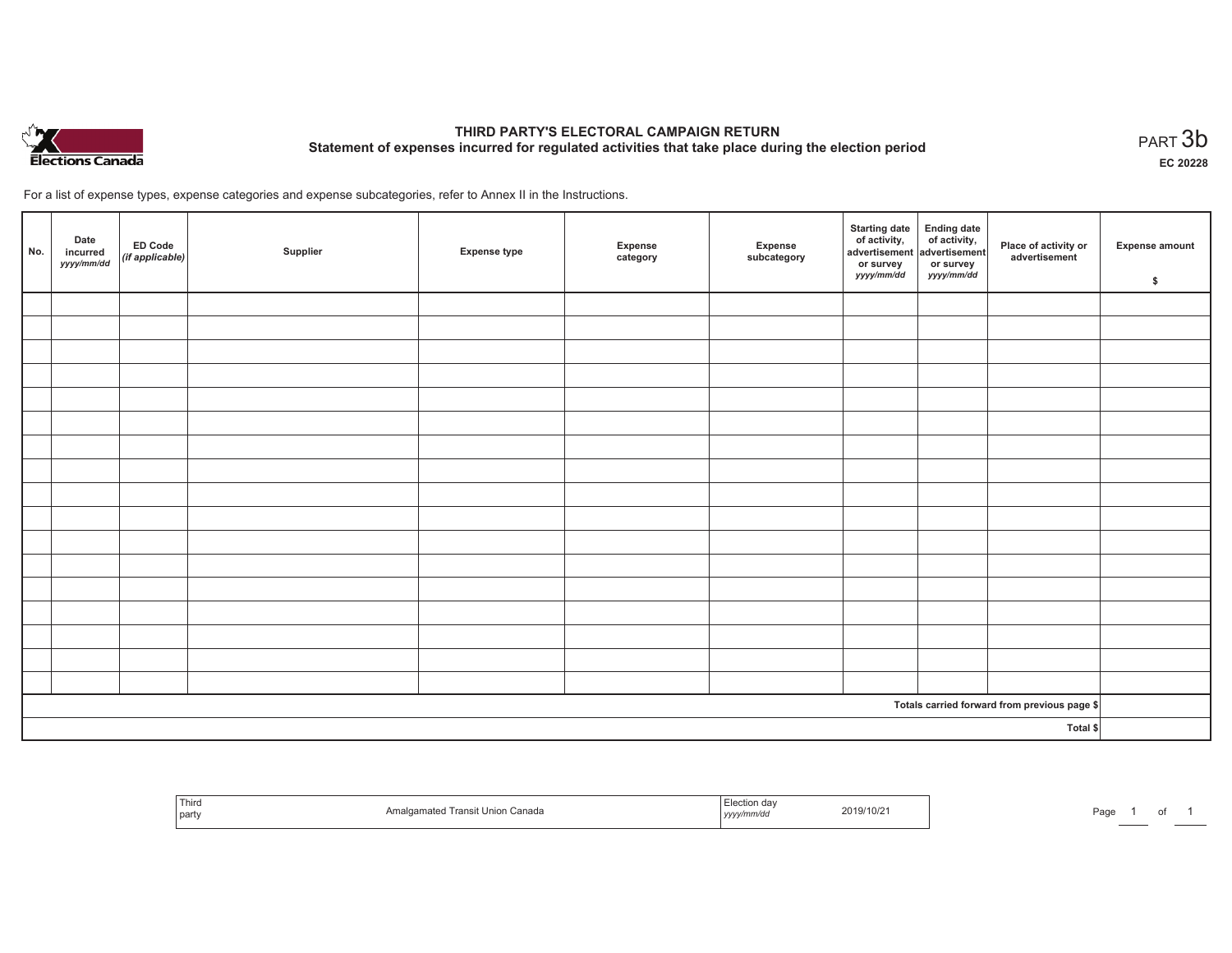

# **THIRD PARTY'S ELECTORAL CAMPAIGN RETURN Statement of expenses incurred for regulated activities that take place during the election period**<br>PART  $3b$

**EC 20228**

For a list of expense types, expense categories and expense subcategories, refer to Annex II in the Instructions.

| No.      | Date<br>incurred<br>yyyy/mm/dd | ED Code<br>(if applicable) | Supplier | <b>Expense type</b> | Expense<br>category | Expense<br>subcategory | Starting date Ending date<br>of activity, of activity,<br>advertisement advertisement<br>or survey<br><i>yyyy/mm/dd</i> | or survey<br><i>yyyy/mm/dd</i> | Place of activity or<br>advertisement        | <b>Expense amount</b><br>\$ |
|----------|--------------------------------|----------------------------|----------|---------------------|---------------------|------------------------|-------------------------------------------------------------------------------------------------------------------------|--------------------------------|----------------------------------------------|-----------------------------|
|          |                                |                            |          |                     |                     |                        |                                                                                                                         |                                |                                              |                             |
|          |                                |                            |          |                     |                     |                        |                                                                                                                         |                                |                                              |                             |
|          |                                |                            |          |                     |                     |                        |                                                                                                                         |                                |                                              |                             |
|          |                                |                            |          |                     |                     |                        |                                                                                                                         |                                |                                              |                             |
|          |                                |                            |          |                     |                     |                        |                                                                                                                         |                                |                                              |                             |
|          |                                |                            |          |                     |                     |                        |                                                                                                                         |                                |                                              |                             |
|          |                                |                            |          |                     |                     |                        |                                                                                                                         |                                |                                              |                             |
|          |                                |                            |          |                     |                     |                        |                                                                                                                         |                                |                                              |                             |
|          |                                |                            |          |                     |                     |                        |                                                                                                                         |                                |                                              |                             |
|          |                                |                            |          |                     |                     |                        |                                                                                                                         |                                |                                              |                             |
|          |                                |                            |          |                     |                     |                        |                                                                                                                         |                                |                                              |                             |
|          |                                |                            |          |                     |                     |                        |                                                                                                                         |                                |                                              |                             |
|          |                                |                            |          |                     |                     |                        |                                                                                                                         |                                |                                              |                             |
|          |                                |                            |          |                     |                     |                        |                                                                                                                         |                                |                                              |                             |
|          |                                |                            |          |                     |                     |                        |                                                                                                                         |                                |                                              |                             |
|          |                                |                            |          |                     |                     |                        |                                                                                                                         |                                |                                              |                             |
|          |                                |                            |          |                     |                     |                        |                                                                                                                         |                                |                                              |                             |
|          |                                |                            |          |                     |                     |                        |                                                                                                                         |                                | Totals carried forward from previous page \$ |                             |
| Total \$ |                                |                            |          |                     |                     |                        |                                                                                                                         |                                |                                              |                             |

| Third<br>  party | mal<br>า Canada<br>namated Transit<br>Union | ™ection :<br>, уууулттичи | 2019/10/2 | Pagu |  | . |
|------------------|---------------------------------------------|---------------------------|-----------|------|--|---|
|------------------|---------------------------------------------|---------------------------|-----------|------|--|---|